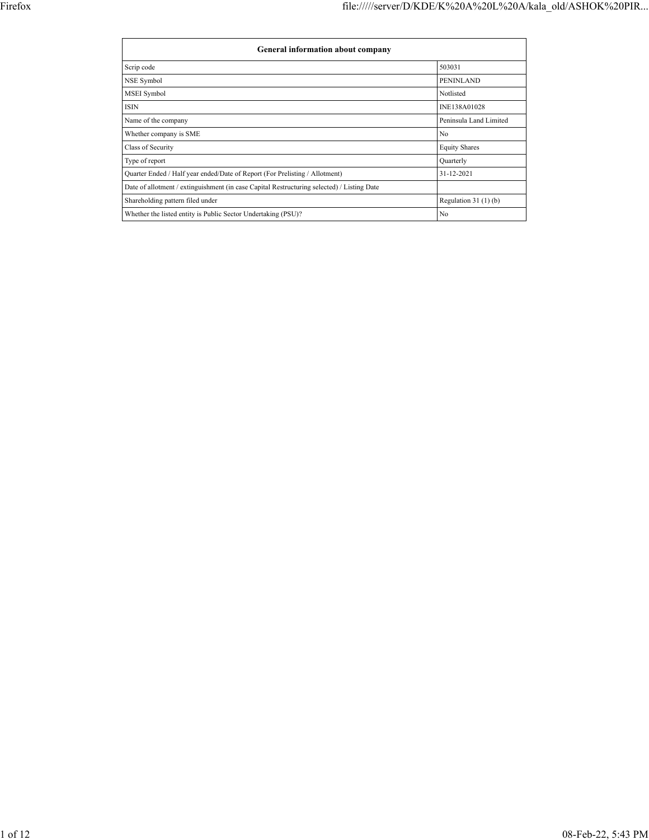$\Gamma$ 

| <b>General information about company</b>                                                   |                        |
|--------------------------------------------------------------------------------------------|------------------------|
| Scrip code                                                                                 | 503031                 |
| NSE Symbol                                                                                 | <b>PENINLAND</b>       |
| MSEI Symbol                                                                                | Notlisted              |
| <b>ISIN</b>                                                                                | INE138A01028           |
| Name of the company                                                                        | Peninsula Land Limited |
| Whether company is SME                                                                     | No                     |
| Class of Security                                                                          | <b>Equity Shares</b>   |
| Type of report                                                                             | Quarterly              |
| Quarter Ended / Half year ended/Date of Report (For Prelisting / Allotment)                | 31-12-2021             |
| Date of allotment / extinguishment (in case Capital Restructuring selected) / Listing Date |                        |
| Shareholding pattern filed under                                                           | Regulation $31(1)(b)$  |
| Whether the listed entity is Public Sector Undertaking (PSU)?                              | No                     |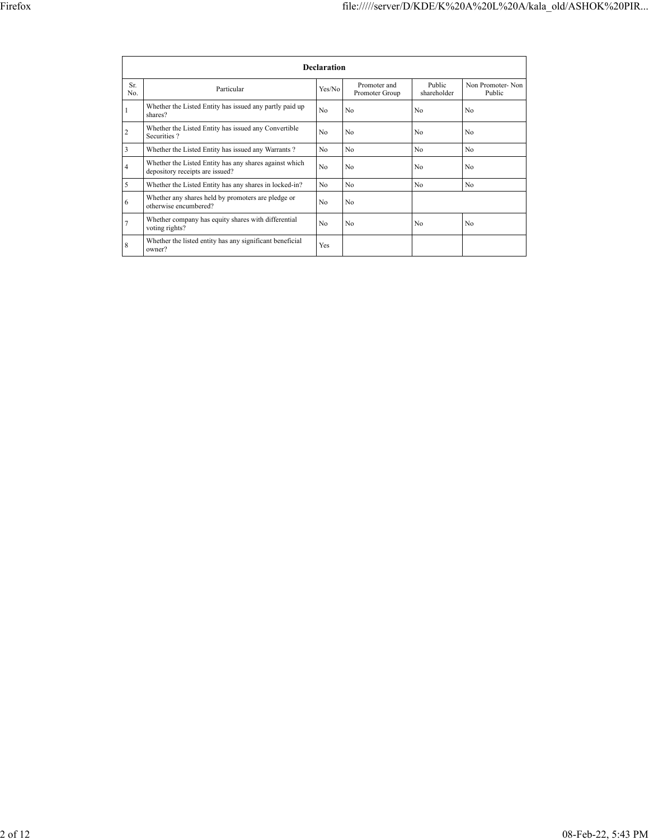|                |                                                                                           | <b>Declaration</b> |                                |                       |                            |
|----------------|-------------------------------------------------------------------------------------------|--------------------|--------------------------------|-----------------------|----------------------------|
| Sr.<br>No.     | Particular                                                                                | Yes/No             | Promoter and<br>Promoter Group | Public<br>shareholder | Non Promoter-Non<br>Public |
| 1              | Whether the Listed Entity has issued any partly paid up<br>shares?                        | No                 | No                             | No                    | No                         |
| $\overline{c}$ | Whether the Listed Entity has issued any Convertible<br>Securities?                       | No                 | No                             | No                    | No                         |
| 3              | Whether the Listed Entity has issued any Warrants?                                        | N <sub>0</sub>     | No                             | No                    | No.                        |
| 4              | Whether the Listed Entity has any shares against which<br>depository receipts are issued? | No                 | No                             | No                    | No                         |
| 5              | Whether the Listed Entity has any shares in locked-in?                                    | N <sub>0</sub>     | N <sub>0</sub>                 | N <sub>0</sub>        | No.                        |
| 6              | Whether any shares held by promoters are pledge or<br>otherwise encumbered?               | No                 | No                             |                       |                            |
|                | Whether company has equity shares with differential<br>voting rights?                     | No                 | No                             | No                    | No                         |
| 8              | Whether the listed entity has any significant beneficial<br>owner?                        | Yes                |                                |                       |                            |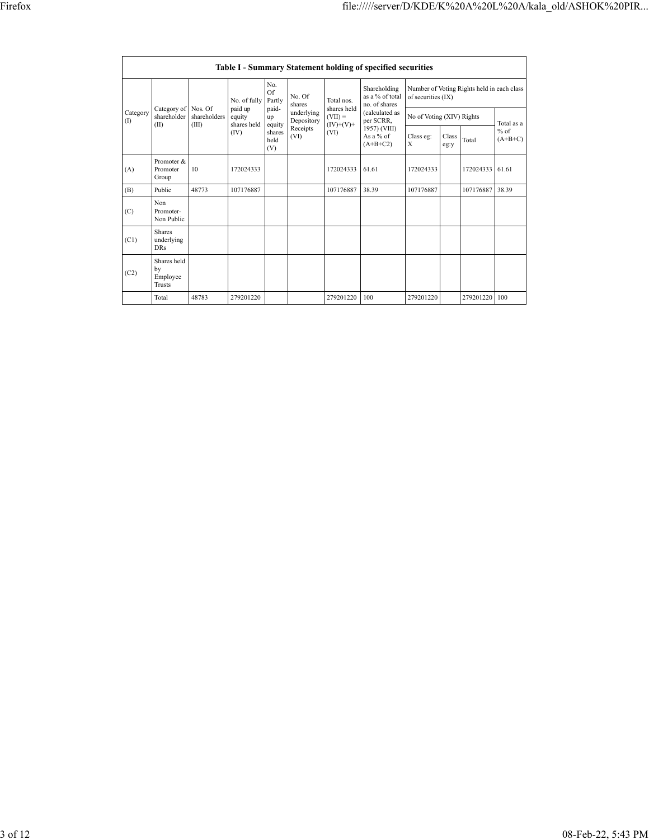|                    | Table I - Summary Statement holding of specified securities |              |                                                                                                                                                                                                                                                                                                                                                                                                                                                |  |                                            |           |       |                           |               |           |                     |  |  |  |
|--------------------|-------------------------------------------------------------|--------------|------------------------------------------------------------------------------------------------------------------------------------------------------------------------------------------------------------------------------------------------------------------------------------------------------------------------------------------------------------------------------------------------------------------------------------------------|--|--------------------------------------------|-----------|-------|---------------------------|---------------|-----------|---------------------|--|--|--|
|                    |                                                             |              | No.<br>Shareholding<br>Of<br>No. Of<br>as a % of total<br>of securities (IX)<br>No. of fully<br>Partly<br>Total nos.<br>no. of shares<br>shares<br>shares held<br>paid up<br>paid-<br>underlying<br>(calculated as<br>$(VII) =$<br>equity<br>up<br>Depository<br>per SCRR,<br>shares held<br>$(IV)+(V)+$<br>equity<br>Receipts<br>1957) (VIII)<br>(IV)<br>(VI)<br>shares<br>As a $%$ of<br>Class eg:<br>(VI)<br>held<br>X<br>$(A+B+C2)$<br>(V) |  | Number of Voting Rights held in each class |           |       |                           |               |           |                     |  |  |  |
| Category<br>$($ I) | Category of Nos. Of<br>shareholder                          | shareholders |                                                                                                                                                                                                                                                                                                                                                                                                                                                |  |                                            |           |       | No of Voting (XIV) Rights |               |           | Total as a          |  |  |  |
|                    | (II)                                                        | (III)        |                                                                                                                                                                                                                                                                                                                                                                                                                                                |  |                                            |           |       |                           | Class<br>eg:y | Total     | $%$ of<br>$(A+B+C)$ |  |  |  |
| (A)                | Promoter &<br>Promoter<br>Group                             | 10           | 172024333                                                                                                                                                                                                                                                                                                                                                                                                                                      |  |                                            | 172024333 | 61.61 | 172024333                 |               | 172024333 | 61.61               |  |  |  |
| (B)                | Public                                                      | 48773        | 107176887                                                                                                                                                                                                                                                                                                                                                                                                                                      |  |                                            | 107176887 | 38.39 | 107176887                 |               | 107176887 | 38.39               |  |  |  |
| (C)                | Non<br>Promoter-<br>Non Public                              |              |                                                                                                                                                                                                                                                                                                                                                                                                                                                |  |                                            |           |       |                           |               |           |                     |  |  |  |
| (C1)               | <b>Shares</b><br>underlying<br><b>DRs</b>                   |              |                                                                                                                                                                                                                                                                                                                                                                                                                                                |  |                                            |           |       |                           |               |           |                     |  |  |  |
| (C2)               | Shares held<br>by<br>Employee<br><b>Trusts</b>              |              |                                                                                                                                                                                                                                                                                                                                                                                                                                                |  |                                            |           |       |                           |               |           |                     |  |  |  |
|                    | Total                                                       | 48783        | 279201220                                                                                                                                                                                                                                                                                                                                                                                                                                      |  |                                            | 279201220 | 100   | 279201220                 |               | 279201220 | 100                 |  |  |  |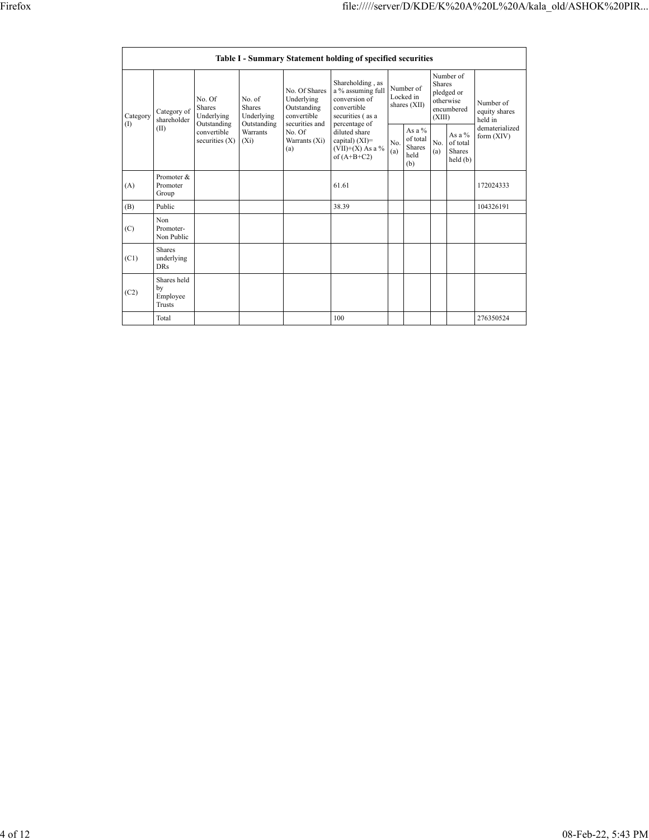|          |                                         |                                                                                                |                     |                                                                             | Table I - Summary Statement holding of specified securities                                                |            |                                                       |                         |                                                    |                                       |
|----------|-----------------------------------------|------------------------------------------------------------------------------------------------|---------------------|-----------------------------------------------------------------------------|------------------------------------------------------------------------------------------------------------|------------|-------------------------------------------------------|-------------------------|----------------------------------------------------|---------------------------------------|
| Category | Category of<br>shareholder              | No. Of<br>No. of<br>Shares<br>Shares<br>Underlying<br>Underlying<br>Outstanding<br>Outstanding |                     | No. Of Shares<br>Underlying<br>Outstanding<br>convertible<br>securities and | Shareholding, as<br>a % assuming full<br>conversion of<br>convertible<br>securities (as a<br>percentage of |            | Number of<br>Locked in<br>shares (XII)                | <b>Shares</b><br>(XIII) | Number of<br>pledged or<br>otherwise<br>encumbered | Number of<br>equity shares<br>held in |
| (1)      | (II)                                    | convertible<br>securities $(X)$                                                                | Warrants<br>$(X_i)$ | No. Of<br>Warrants (Xi)<br>(a)                                              | diluted share<br>capital) $(XI)$ =<br>$(VII)+(X)$ As a %<br>of $(A+B+C2)$                                  | No.<br>(a) | As a $\%$<br>of total<br><b>Shares</b><br>held<br>(b) | No.<br>(a)              | As a $%$<br>of total<br><b>Shares</b><br>held(b)   | dematerialized<br>form $(XIV)$        |
| (A)      | Promoter &<br>Promoter<br>Group         |                                                                                                |                     |                                                                             | 61.61                                                                                                      |            |                                                       |                         |                                                    | 172024333                             |
| (B)      | Public                                  |                                                                                                |                     |                                                                             | 38.39                                                                                                      |            |                                                       |                         |                                                    | 104326191                             |
| (C)      | Non<br>Promoter-<br>Non Public          |                                                                                                |                     |                                                                             |                                                                                                            |            |                                                       |                         |                                                    |                                       |
| (C1)     | Shares<br>underlying<br><b>DRs</b>      |                                                                                                |                     |                                                                             |                                                                                                            |            |                                                       |                         |                                                    |                                       |
| (C2)     | Shares held<br>by<br>Employee<br>Trusts |                                                                                                |                     |                                                                             |                                                                                                            |            |                                                       |                         |                                                    |                                       |
|          | Total                                   |                                                                                                |                     |                                                                             | 100                                                                                                        |            |                                                       |                         |                                                    | 276350524                             |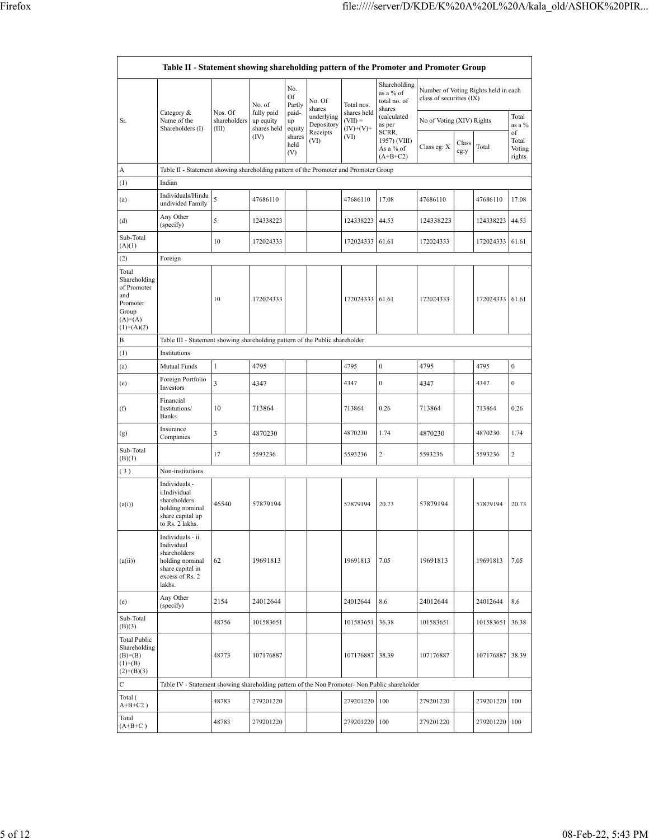| Table II - Statement showing shareholding pattern of the Promoter and Promoter Group          |                                                                                                                     |                                  |                                                          |                                                                |                                                                  |                                                               |                                                                                                                    |                                                                      |               |                                               |                                            |  |
|-----------------------------------------------------------------------------------------------|---------------------------------------------------------------------------------------------------------------------|----------------------------------|----------------------------------------------------------|----------------------------------------------------------------|------------------------------------------------------------------|---------------------------------------------------------------|--------------------------------------------------------------------------------------------------------------------|----------------------------------------------------------------------|---------------|-----------------------------------------------|--------------------------------------------|--|
| Sr.                                                                                           | Category &<br>Name of the<br>Shareholders (I)                                                                       | Nos. Of<br>shareholders<br>(III) | No. of<br>fully paid<br>up equity<br>shares held<br>(IV) | No.<br>Of<br>Partly<br>paid-<br>up<br>equity<br>shares<br>held | No. Of<br>shares<br>underlying<br>Depository<br>Receipts<br>(VI) | Total nos.<br>shares held<br>$(VII) =$<br>$(IV)+(V)+$<br>(VI) | Shareholding<br>as a % of<br>total no. of<br>shares<br>(calculated<br>as per<br>SCRR,<br>1957) (VIII)<br>As a % of | class of securities (IX)<br>No of Voting (XIV) Rights<br>Class eg: X | Class<br>eg:y | Number of Voting Rights held in each<br>Total | Total<br>as a $%$<br>of<br>Total<br>Voting |  |
|                                                                                               |                                                                                                                     |                                  |                                                          | (V)                                                            |                                                                  |                                                               | $(A+B+C2)$                                                                                                         |                                                                      |               |                                               | rights                                     |  |
| А<br>(1)                                                                                      | Table II - Statement showing shareholding pattern of the Promoter and Promoter Group<br>Indian                      |                                  |                                                          |                                                                |                                                                  |                                                               |                                                                                                                    |                                                                      |               |                                               |                                            |  |
|                                                                                               | Individuals/Hindu                                                                                                   |                                  |                                                          |                                                                |                                                                  |                                                               |                                                                                                                    |                                                                      |               |                                               |                                            |  |
| (a)                                                                                           | undivided Family<br>Any Other                                                                                       | 5                                | 47686110                                                 |                                                                |                                                                  | 47686110                                                      | 17.08                                                                                                              | 47686110                                                             |               | 47686110                                      | 17.08                                      |  |
| (d)<br>Sub-Total                                                                              | (specify)                                                                                                           | 5                                | 124338223                                                |                                                                |                                                                  | 124338223                                                     | 44.53                                                                                                              | 124338223                                                            |               | 124338223                                     | 44.53                                      |  |
| (A)(1)                                                                                        |                                                                                                                     | 10                               | 172024333                                                |                                                                |                                                                  | 172024333                                                     | 61.61                                                                                                              | 172024333                                                            |               | 172024333                                     | 61.61                                      |  |
| (2)                                                                                           | Foreign                                                                                                             |                                  |                                                          |                                                                |                                                                  |                                                               |                                                                                                                    |                                                                      |               |                                               |                                            |  |
| Total<br>Shareholding<br>of Promoter<br>and<br>Promoter<br>Group<br>$(A)=(A)$<br>$(1)+(A)(2)$ |                                                                                                                     | 10                               | 172024333                                                |                                                                |                                                                  | 172024333                                                     | 61.61                                                                                                              | 172024333                                                            |               | 172024333                                     | 61.61                                      |  |
| B                                                                                             | Table III - Statement showing shareholding pattern of the Public shareholder                                        |                                  |                                                          |                                                                |                                                                  |                                                               |                                                                                                                    |                                                                      |               |                                               |                                            |  |
| (1)                                                                                           | Institutions                                                                                                        |                                  |                                                          |                                                                |                                                                  |                                                               |                                                                                                                    |                                                                      |               |                                               |                                            |  |
| (a)                                                                                           | 4795<br>1<br>Mutual Funds                                                                                           |                                  |                                                          |                                                                | 4795                                                             | $\boldsymbol{0}$                                              | 4795                                                                                                               |                                                                      | 4795          | $\boldsymbol{0}$                              |                                            |  |
| (e)                                                                                           | Foreign Portfolio<br>Investors                                                                                      | 3                                | 4347                                                     |                                                                |                                                                  | 4347                                                          | $\boldsymbol{0}$                                                                                                   | 4347                                                                 |               | 4347                                          | $\mathbf{0}$                               |  |
| (f)                                                                                           | Financial<br>Institutions/<br><b>Banks</b>                                                                          | 10                               | 713864                                                   |                                                                |                                                                  | 713864                                                        | 0.26                                                                                                               | 713864                                                               |               | 713864                                        | 0.26                                       |  |
| (g)                                                                                           | Insurance<br>Companies                                                                                              | 3                                | 4870230                                                  |                                                                |                                                                  | 4870230                                                       | 1.74                                                                                                               | 4870230                                                              |               | 4870230                                       | 1.74                                       |  |
| Sub-Total<br>(B)(1)                                                                           |                                                                                                                     | 17                               | 5593236                                                  |                                                                |                                                                  | 5593236                                                       | $\overline{c}$                                                                                                     | 5593236                                                              |               | 5593236                                       | $\sqrt{2}$                                 |  |
| (3)                                                                                           | Non-institutions                                                                                                    |                                  |                                                          |                                                                |                                                                  |                                                               |                                                                                                                    |                                                                      |               |                                               |                                            |  |
| (a(i))                                                                                        | Individuals -<br>i.Individual<br>shareholders<br>holding nominal<br>share capital up<br>to Rs. 2 lakhs.             | 46540                            | 57879194                                                 |                                                                |                                                                  | 57879194                                                      | 20.73                                                                                                              | 57879194                                                             |               | 57879194                                      | 20.73                                      |  |
| (a(ii))                                                                                       | Individuals - ii.<br>Individual<br>shareholders<br>holding nominal<br>share capital in<br>excess of Rs. 2<br>lakhs. | 62                               | 19691813                                                 |                                                                |                                                                  | 19691813                                                      | 7.05                                                                                                               | 19691813                                                             |               | 19691813                                      | 7.05                                       |  |
| (e)                                                                                           | Any Other<br>(specify)                                                                                              | 2154                             | 24012644                                                 |                                                                |                                                                  | 24012644                                                      | 8.6                                                                                                                | 24012644                                                             |               | 24012644                                      | 8.6                                        |  |
| Sub-Total<br>(B)(3)                                                                           |                                                                                                                     | 48756                            | 101583651                                                |                                                                |                                                                  | 101583651                                                     | 36.38                                                                                                              | 101583651                                                            |               | 101583651 36.38                               |                                            |  |
| Total Public<br>Shareholding<br>$(B)=B)$<br>$(1)+(B)$<br>$(2)+(B)(3)$                         |                                                                                                                     | 48773                            | 107176887                                                |                                                                |                                                                  | 107176887                                                     | 38.39                                                                                                              | 107176887                                                            |               | 107176887                                     | 38.39                                      |  |
| C                                                                                             | Table IV - Statement showing shareholding pattern of the Non Promoter- Non Public shareholder                       |                                  |                                                          |                                                                |                                                                  |                                                               |                                                                                                                    |                                                                      |               |                                               |                                            |  |
| Total (<br>$A+B+C2$ )                                                                         |                                                                                                                     | 48783                            | 279201220                                                |                                                                |                                                                  | 279201220                                                     | 100                                                                                                                | 279201220                                                            |               | 279201220                                     | 100                                        |  |
| Total<br>$(A+B+C)$                                                                            |                                                                                                                     | 48783                            | 279201220                                                |                                                                |                                                                  | 279201220                                                     | 100                                                                                                                | 279201220                                                            |               | 279201220                                     | 100                                        |  |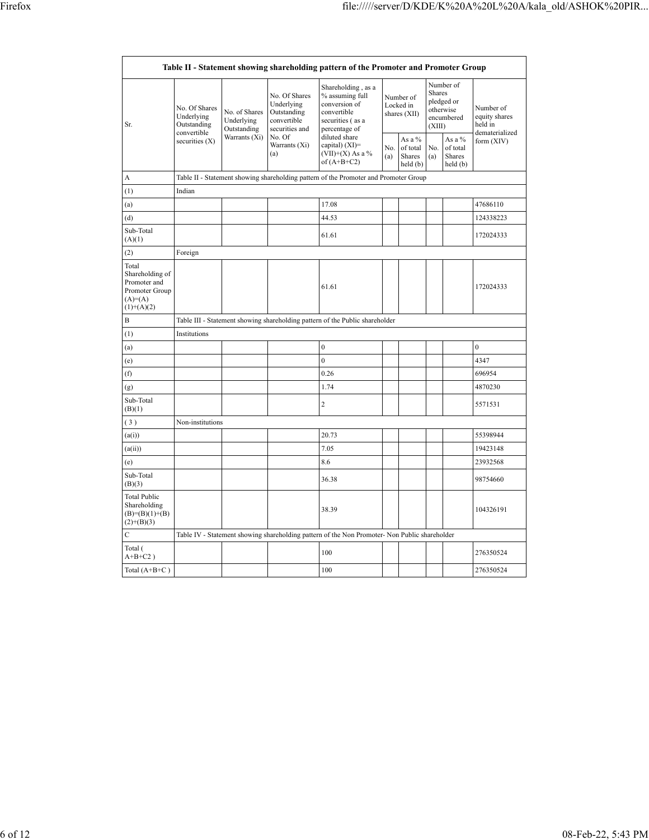$\mathsf{r}$ 

|                                                                                         |                                                                              |                                            |                                                                             | Table II - Statement showing shareholding pattern of the Promoter and Promoter Group                       |                                        |                                          |                                                                        |                                          |                                                         |
|-----------------------------------------------------------------------------------------|------------------------------------------------------------------------------|--------------------------------------------|-----------------------------------------------------------------------------|------------------------------------------------------------------------------------------------------------|----------------------------------------|------------------------------------------|------------------------------------------------------------------------|------------------------------------------|---------------------------------------------------------|
| Sr.                                                                                     | No. Of Shares<br>Underlying<br>Outstanding<br>convertible                    | No. of Shares<br>Underlying<br>Outstanding | No. Of Shares<br>Underlying<br>Outstanding<br>convertible<br>securities and | Shareholding, as a<br>% assuming full<br>conversion of<br>convertible<br>securities (as a<br>percentage of | Number of<br>Locked in<br>shares (XII) |                                          | Number of<br>Shares<br>pledged or<br>otherwise<br>encumbered<br>(XIII) |                                          | Number of<br>equity shares<br>held in<br>dematerialized |
|                                                                                         | securities (X)                                                               | Warrants (Xi)                              | No. Of<br>Warrants (Xi)<br>(a)                                              | diluted share<br>capital) (XI)=<br>$(VII)+(X)$ As a %<br>of $(A+B+C2)$                                     | No.<br>(a)                             | As a %<br>of total<br>Shares<br>held (b) | No.<br>(a)                                                             | As a %<br>of total<br>Shares<br>held (b) | form (XIV)                                              |
| A                                                                                       |                                                                              |                                            |                                                                             | Table II - Statement showing shareholding pattern of the Promoter and Promoter Group                       |                                        |                                          |                                                                        |                                          |                                                         |
| (1)                                                                                     | Indian                                                                       |                                            |                                                                             |                                                                                                            |                                        |                                          |                                                                        |                                          |                                                         |
| (a)                                                                                     |                                                                              |                                            |                                                                             | 17.08                                                                                                      |                                        |                                          |                                                                        |                                          | 47686110                                                |
| (d)                                                                                     |                                                                              |                                            |                                                                             | 44.53                                                                                                      |                                        |                                          |                                                                        |                                          | 124338223                                               |
| Sub-Total<br>(A)(1)                                                                     |                                                                              |                                            |                                                                             | 61.61                                                                                                      |                                        |                                          |                                                                        |                                          | 172024333                                               |
| (2)                                                                                     | Foreign                                                                      |                                            |                                                                             |                                                                                                            |                                        |                                          |                                                                        |                                          |                                                         |
| Total<br>Shareholding of<br>Promoter and<br>Promoter Group<br>$(A)=(A)$<br>$(1)+(A)(2)$ |                                                                              |                                            |                                                                             | 61.61                                                                                                      |                                        |                                          |                                                                        |                                          | 172024333                                               |
| B                                                                                       | Table III - Statement showing shareholding pattern of the Public shareholder |                                            |                                                                             |                                                                                                            |                                        |                                          |                                                                        |                                          |                                                         |
| (1)                                                                                     | Institutions                                                                 |                                            |                                                                             |                                                                                                            |                                        |                                          |                                                                        |                                          |                                                         |
| (a)                                                                                     |                                                                              |                                            |                                                                             | $\mathbf 0$                                                                                                |                                        |                                          |                                                                        |                                          | $\theta$                                                |
| (e)                                                                                     |                                                                              |                                            |                                                                             | $\mathbf{0}$                                                                                               |                                        |                                          |                                                                        |                                          | 4347                                                    |
| (f)                                                                                     |                                                                              |                                            |                                                                             | 0.26                                                                                                       |                                        |                                          |                                                                        |                                          | 696954                                                  |
| (g)                                                                                     |                                                                              |                                            |                                                                             | 1.74                                                                                                       |                                        |                                          |                                                                        |                                          | 4870230                                                 |
| Sub-Total<br>(B)(1)                                                                     |                                                                              |                                            |                                                                             | $\overline{c}$                                                                                             |                                        |                                          |                                                                        |                                          | 5571531                                                 |
| (3)                                                                                     | Non-institutions                                                             |                                            |                                                                             |                                                                                                            |                                        |                                          |                                                                        |                                          |                                                         |
| (a(i))                                                                                  |                                                                              |                                            |                                                                             | 20.73                                                                                                      |                                        |                                          |                                                                        |                                          | 55398944                                                |
| (a(ii))                                                                                 |                                                                              |                                            |                                                                             | 7.05                                                                                                       |                                        |                                          |                                                                        |                                          | 19423148                                                |
| (e)                                                                                     |                                                                              |                                            |                                                                             | 8.6                                                                                                        |                                        |                                          |                                                                        |                                          | 23932568                                                |
| Sub-Total<br>(B)(3)                                                                     |                                                                              |                                            |                                                                             | 36.38                                                                                                      |                                        |                                          |                                                                        |                                          | 98754660                                                |
| <b>Total Public</b><br>Shareholding<br>$(B)= (B)(1)+(B)$<br>$(2)+(B)(3)$                |                                                                              |                                            |                                                                             | 38.39                                                                                                      |                                        |                                          |                                                                        |                                          | 104326191                                               |
| $\overline{C}$                                                                          |                                                                              |                                            |                                                                             | Table IV - Statement showing shareholding pattern of the Non Promoter- Non Public shareholder              |                                        |                                          |                                                                        |                                          |                                                         |
| Total (<br>$A+B+C2$ )                                                                   |                                                                              |                                            |                                                                             | 100                                                                                                        |                                        |                                          |                                                                        |                                          | 276350524                                               |
| Total $(A+B+C)$                                                                         |                                                                              |                                            |                                                                             | 100                                                                                                        |                                        |                                          |                                                                        |                                          | 276350524                                               |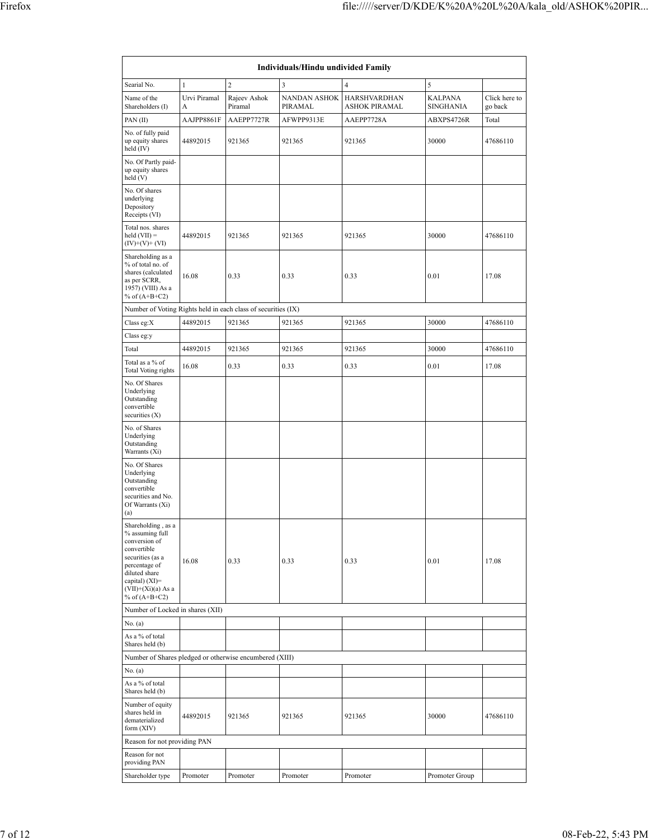| Individuals/Hindu undivided Family                                                                                                                                                       |                   |                         |                                |                                      |                                    |                          |  |  |  |  |  |
|------------------------------------------------------------------------------------------------------------------------------------------------------------------------------------------|-------------------|-------------------------|--------------------------------|--------------------------------------|------------------------------------|--------------------------|--|--|--|--|--|
| Searial No.                                                                                                                                                                              | $\mathbf 1$       | $\overline{2}$          | 3                              | $\overline{4}$                       | 5                                  |                          |  |  |  |  |  |
| Name of the<br>Shareholders (I)                                                                                                                                                          | Urvi Piramal<br>A | Rajeev Ashok<br>Piramal | <b>NANDAN ASHOK</b><br>PIRAMAL | <b>HARSHVARDHAN</b><br>ASHOK PIRAMAL | <b>KALPANA</b><br><b>SINGHANIA</b> | Click here to<br>go back |  |  |  |  |  |
| PAN(II)                                                                                                                                                                                  | AAJPP8861F        | AAEPP7727R              | AFWPP9313E                     | AAEPP7728A                           | ABXPS4726R                         | Total                    |  |  |  |  |  |
| No. of fully paid<br>up equity shares<br>held $(IV)$                                                                                                                                     | 44892015          | 921365                  | 921365                         | 921365                               | 30000                              | 47686110                 |  |  |  |  |  |
| No. Of Partly paid-<br>up equity shares<br>held(V)                                                                                                                                       |                   |                         |                                |                                      |                                    |                          |  |  |  |  |  |
| No. Of shares<br>underlying<br>Depository<br>Receipts (VI)                                                                                                                               |                   |                         |                                |                                      |                                    |                          |  |  |  |  |  |
| Total nos. shares<br>$held (VII) =$<br>44892015<br>$(IV)+(V)+(VI)$                                                                                                                       |                   | 921365                  | 921365                         | 921365                               | 30000                              | 47686110                 |  |  |  |  |  |
| Shareholding as a<br>% of total no. of<br>shares (calculated<br>16.08<br>as per SCRR,<br>1957) (VIII) As a<br>% of $(A+B+C2)$                                                            |                   | 0.33                    | 0.33<br>0.33                   |                                      | 0.01                               | 17.08                    |  |  |  |  |  |
| Number of Voting Rights held in each class of securities (IX)                                                                                                                            |                   |                         |                                |                                      |                                    |                          |  |  |  |  |  |
| Class eg:X                                                                                                                                                                               | 44892015          | 921365                  | 921365                         | 921365                               | 30000                              | 47686110                 |  |  |  |  |  |
| Class eg:y                                                                                                                                                                               |                   |                         |                                |                                      |                                    |                          |  |  |  |  |  |
| Total                                                                                                                                                                                    | 44892015          | 921365                  | 921365                         | 921365                               | 30000                              | 47686110                 |  |  |  |  |  |
| Total as a % of<br>Total Voting rights                                                                                                                                                   | 16.08             | 0.33                    | 0.33                           | 0.33                                 | 0.01                               | 17.08                    |  |  |  |  |  |
| No. Of Shares<br>Underlying<br>Outstanding<br>convertible<br>securities $(X)$                                                                                                            |                   |                         |                                |                                      |                                    |                          |  |  |  |  |  |
| No. of Shares<br>Underlying<br>Outstanding<br>Warrants (Xi)                                                                                                                              |                   |                         |                                |                                      |                                    |                          |  |  |  |  |  |
| No. Of Shares<br>Underlying<br>Outstanding<br>convertible<br>securities and No.<br>Of Warrants (Xi)<br>(a)                                                                               |                   |                         |                                |                                      |                                    |                          |  |  |  |  |  |
| Shareholding, as a<br>% assuming full<br>conversion of<br>convertible<br>securities (as a<br>percentage of<br>diluted share<br>capital) (XI)=<br>$(VII)+(Xi)(a)$ As a<br>% of $(A+B+C2)$ | 16.08             | 0.33                    | 0.33                           | 0.33                                 | 0.01                               | 17.08                    |  |  |  |  |  |
| Number of Locked in shares (XII)                                                                                                                                                         |                   |                         |                                |                                      |                                    |                          |  |  |  |  |  |
| No. (a)                                                                                                                                                                                  |                   |                         |                                |                                      |                                    |                          |  |  |  |  |  |
| As a % of total<br>Shares held (b)                                                                                                                                                       |                   |                         |                                |                                      |                                    |                          |  |  |  |  |  |
| Number of Shares pledged or otherwise encumbered (XIII)                                                                                                                                  |                   |                         |                                |                                      |                                    |                          |  |  |  |  |  |
| No. (a)                                                                                                                                                                                  |                   |                         |                                |                                      |                                    |                          |  |  |  |  |  |
| As a % of total<br>Shares held (b)                                                                                                                                                       |                   |                         |                                |                                      |                                    |                          |  |  |  |  |  |
| Number of equity<br>shares held in<br>dematerialized<br>form $(XIV)$                                                                                                                     | 44892015          | 921365                  | 921365                         | 921365                               | 30000                              | 47686110                 |  |  |  |  |  |
| Reason for not providing PAN                                                                                                                                                             |                   |                         |                                |                                      |                                    |                          |  |  |  |  |  |
| Reason for not<br>providing PAN                                                                                                                                                          |                   |                         |                                |                                      |                                    |                          |  |  |  |  |  |
| Shareholder type                                                                                                                                                                         | Promoter          | Promoter                | Promoter                       | Promoter                             | Promoter Group                     |                          |  |  |  |  |  |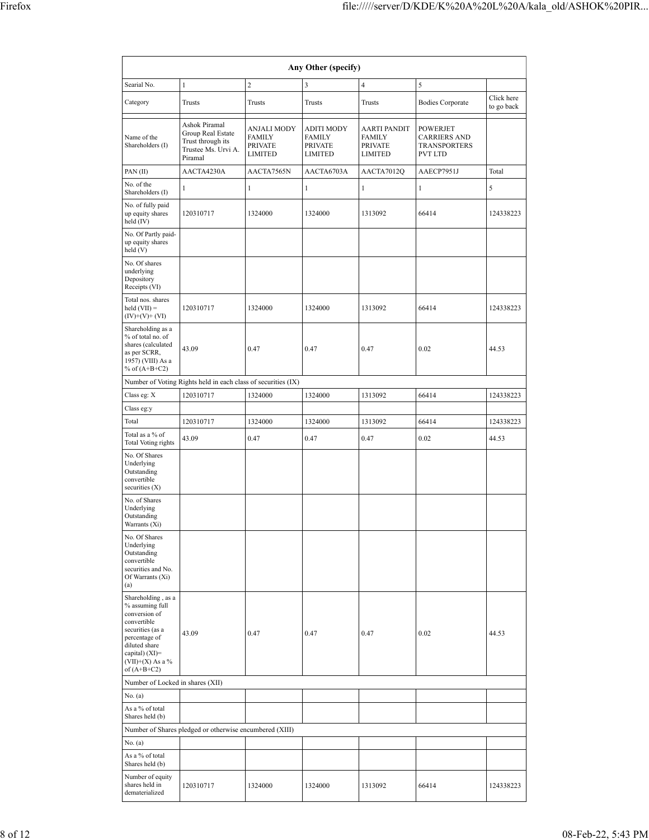|                                                                                                                                                                                        | Any Other (specify)                                                                       |                                                                  |                                                                        |                                                                          |                                                                          |                          |  |  |  |  |  |  |
|----------------------------------------------------------------------------------------------------------------------------------------------------------------------------------------|-------------------------------------------------------------------------------------------|------------------------------------------------------------------|------------------------------------------------------------------------|--------------------------------------------------------------------------|--------------------------------------------------------------------------|--------------------------|--|--|--|--|--|--|
| Searial No.                                                                                                                                                                            | $\mathbf{1}$                                                                              | $\overline{c}$                                                   | 3                                                                      | $\overline{4}$                                                           | 5                                                                        |                          |  |  |  |  |  |  |
| Category                                                                                                                                                                               | Trusts                                                                                    | Trusts                                                           | Trusts                                                                 | Trusts                                                                   | <b>Bodies Corporate</b>                                                  | Click here<br>to go back |  |  |  |  |  |  |
| Name of the<br>Shareholders (I)                                                                                                                                                        | Ashok Piramal<br>Group Real Estate<br>Trust through its<br>Trustee Ms. Urvi A.<br>Piramal | <b>ANJALI MODY</b><br><b>FAMILY</b><br><b>PRIVATE</b><br>LIMITED | <b>ADITI MODY</b><br><b>FAMILY</b><br><b>PRIVATE</b><br><b>LIMITED</b> | <b>AARTI PANDIT</b><br><b>FAMILY</b><br><b>PRIVATE</b><br><b>LIMITED</b> | <b>POWERJET</b><br><b>CARRIERS AND</b><br><b>TRANSPORTERS</b><br>PVT LTD |                          |  |  |  |  |  |  |
| PAN(II)                                                                                                                                                                                | AACTA4230A                                                                                | AACTA7565N                                                       | AACTA6703A                                                             | AACTA7012Q                                                               | AAECP7951J                                                               | Total                    |  |  |  |  |  |  |
| No. of the<br>Shareholders (I)                                                                                                                                                         | 1                                                                                         | $\mathbf{1}$                                                     | $\mathbf{1}$                                                           | $\mathbf{1}$                                                             | 1                                                                        | 5                        |  |  |  |  |  |  |
| No. of fully paid<br>up equity shares<br>held (IV)                                                                                                                                     | 120310717                                                                                 | 1324000                                                          | 1324000                                                                | 1313092                                                                  | 66414                                                                    | 124338223                |  |  |  |  |  |  |
| No. Of Partly paid-<br>up equity shares<br>held (V)                                                                                                                                    |                                                                                           |                                                                  |                                                                        |                                                                          |                                                                          |                          |  |  |  |  |  |  |
| No. Of shares<br>underlying<br>Depository<br>Receipts (VI)                                                                                                                             |                                                                                           |                                                                  |                                                                        |                                                                          |                                                                          |                          |  |  |  |  |  |  |
| Total nos. shares<br>$\text{held (VII)} =$<br>$(IV)+(V)+(VI)$                                                                                                                          | 120310717                                                                                 | 1324000                                                          | 1324000                                                                | 1313092                                                                  | 66414                                                                    | 124338223                |  |  |  |  |  |  |
| Shareholding as a<br>% of total no. of<br>shares (calculated<br>as per SCRR,<br>1957) (VIII) As a<br>% of $(A+B+C2)$                                                                   | 43.09                                                                                     | 0.47                                                             | 0.47                                                                   | 0.47                                                                     | 0.02                                                                     | 44.53                    |  |  |  |  |  |  |
|                                                                                                                                                                                        | Number of Voting Rights held in each class of securities (IX)                             |                                                                  |                                                                        |                                                                          |                                                                          |                          |  |  |  |  |  |  |
| Class eg: X                                                                                                                                                                            | 120310717                                                                                 | 1324000                                                          | 1324000                                                                | 1313092                                                                  | 66414                                                                    | 124338223                |  |  |  |  |  |  |
| Class eg:y                                                                                                                                                                             |                                                                                           |                                                                  |                                                                        |                                                                          |                                                                          |                          |  |  |  |  |  |  |
| Total<br>Total as a % of                                                                                                                                                               | 120310717                                                                                 | 1324000                                                          | 1324000                                                                | 1313092                                                                  | 66414                                                                    | 124338223                |  |  |  |  |  |  |
| Total Voting rights                                                                                                                                                                    | 43.09                                                                                     | 0.47                                                             | 0.47                                                                   | 0.47                                                                     | 0.02                                                                     | 44.53                    |  |  |  |  |  |  |
| No. Of Shares<br>Underlying<br>Outstanding<br>convertible<br>securities (X)                                                                                                            |                                                                                           |                                                                  |                                                                        |                                                                          |                                                                          |                          |  |  |  |  |  |  |
| No. of Shares<br>Underlying<br>Outstanding<br>Warrants (Xi)                                                                                                                            |                                                                                           |                                                                  |                                                                        |                                                                          |                                                                          |                          |  |  |  |  |  |  |
| No. Of Shares<br>Underlying<br>Outstanding<br>convertible<br>securities and No.<br>Of Warrants (Xi)<br>(a)                                                                             |                                                                                           |                                                                  |                                                                        |                                                                          |                                                                          |                          |  |  |  |  |  |  |
| Shareholding, as a<br>% assuming full<br>conversion of<br>convertible<br>securities (as a<br>percentage of<br>diluted share<br>capital) $(XI)=$<br>$(VII)+(X)$ As a %<br>of $(A+B+C2)$ | 43.09                                                                                     | 0.47                                                             | 0.47                                                                   | 0.47                                                                     | 0.02                                                                     | 44.53                    |  |  |  |  |  |  |
| Number of Locked in shares (XII)                                                                                                                                                       |                                                                                           |                                                                  |                                                                        |                                                                          |                                                                          |                          |  |  |  |  |  |  |
| No. (a)                                                                                                                                                                                |                                                                                           |                                                                  |                                                                        |                                                                          |                                                                          |                          |  |  |  |  |  |  |
| As a % of total<br>Shares held (b)                                                                                                                                                     |                                                                                           |                                                                  |                                                                        |                                                                          |                                                                          |                          |  |  |  |  |  |  |
|                                                                                                                                                                                        | Number of Shares pledged or otherwise encumbered (XIII)                                   |                                                                  |                                                                        |                                                                          |                                                                          |                          |  |  |  |  |  |  |
| No. (a)<br>As a % of total                                                                                                                                                             |                                                                                           |                                                                  |                                                                        |                                                                          |                                                                          |                          |  |  |  |  |  |  |
| Shares held (b)                                                                                                                                                                        |                                                                                           |                                                                  |                                                                        |                                                                          |                                                                          |                          |  |  |  |  |  |  |
| Number of equity<br>shares held in<br>dematerialized                                                                                                                                   | 120310717                                                                                 | 1324000                                                          | 1324000                                                                | 1313092                                                                  | 66414                                                                    | 124338223                |  |  |  |  |  |  |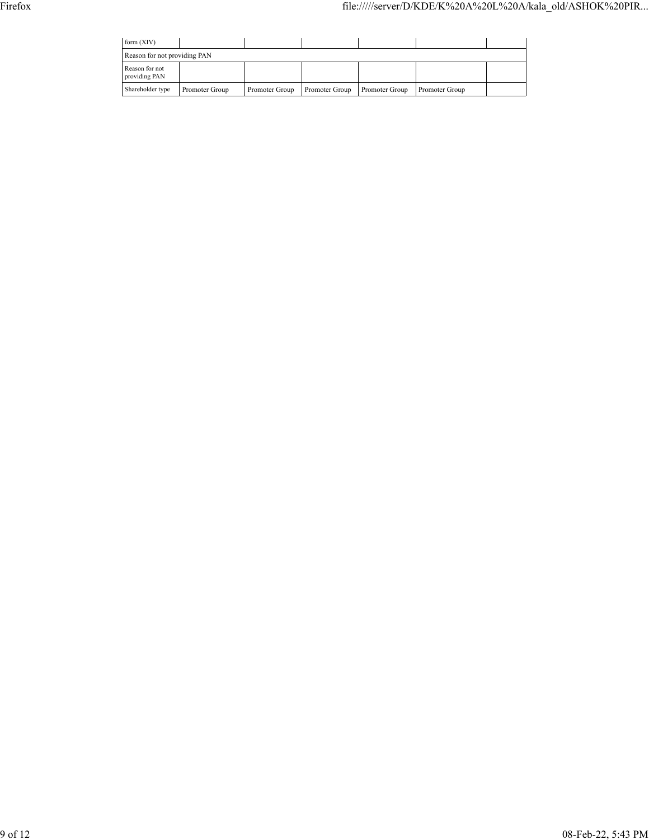| form $(XIV)$                    |                              |                |                |                |                |  |  |  |  |  |  |  |
|---------------------------------|------------------------------|----------------|----------------|----------------|----------------|--|--|--|--|--|--|--|
|                                 | Reason for not providing PAN |                |                |                |                |  |  |  |  |  |  |  |
| Reason for not<br>providing PAN |                              |                |                |                |                |  |  |  |  |  |  |  |
| Shareholder type                | Promoter Group               | Promoter Group | Promoter Group | Promoter Group | Promoter Group |  |  |  |  |  |  |  |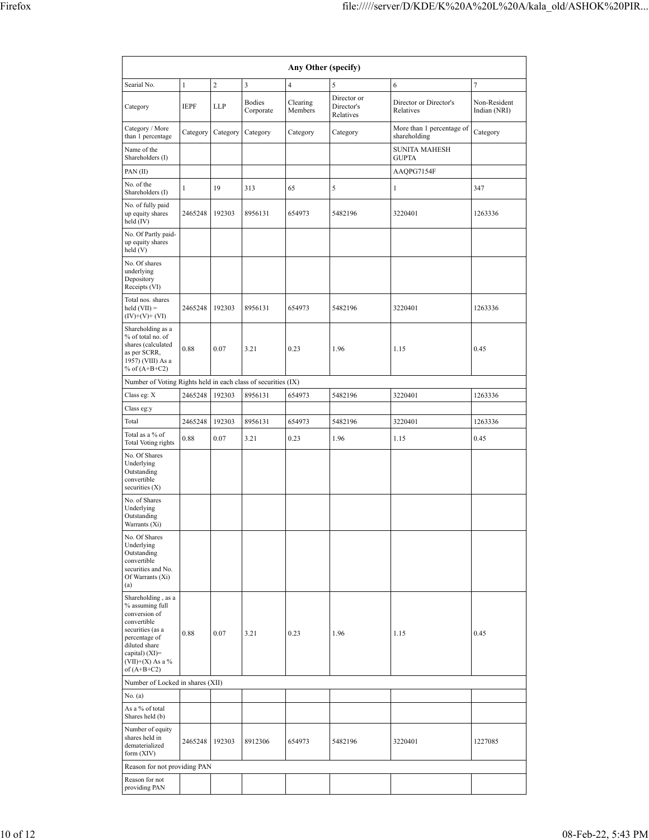| Any Other (specify)                                                                                                                                                                  |              |                |                            |                     |                                        |                                           |                              |  |  |  |  |  |
|--------------------------------------------------------------------------------------------------------------------------------------------------------------------------------------|--------------|----------------|----------------------------|---------------------|----------------------------------------|-------------------------------------------|------------------------------|--|--|--|--|--|
| Searial No.                                                                                                                                                                          | $\mathbf 1$  | $\overline{c}$ | 3                          | $\overline{4}$      | 5                                      | 6                                         | $\tau$                       |  |  |  |  |  |
| Category                                                                                                                                                                             | <b>IEPF</b>  | LLP            | <b>Bodies</b><br>Corporate | Clearing<br>Members | Director or<br>Director's<br>Relatives | Director or Director's<br>Relatives       | Non-Resident<br>Indian (NRI) |  |  |  |  |  |
| Category / More<br>than 1 percentage                                                                                                                                                 | Category     | Category       | Category                   | Category            | Category                               | More than 1 percentage of<br>shareholding | Category                     |  |  |  |  |  |
| Name of the<br>Shareholders (I)                                                                                                                                                      |              |                |                            |                     |                                        | <b>SUNITA MAHESH</b><br><b>GUPTA</b>      |                              |  |  |  |  |  |
| PAN(II)                                                                                                                                                                              |              |                |                            |                     |                                        | AAQPG7154F                                |                              |  |  |  |  |  |
| No. of the<br>Shareholders (I)                                                                                                                                                       | $\mathbf{1}$ | 19             | 313                        | 65                  | 5                                      | $\mathbf{1}$                              | 347                          |  |  |  |  |  |
| No. of fully paid<br>up equity shares<br>held (IV)                                                                                                                                   | 2465248      | 192303         | 8956131                    | 654973              | 5482196                                | 3220401                                   | 1263336                      |  |  |  |  |  |
| No. Of Partly paid-<br>up equity shares<br>held (V)                                                                                                                                  |              |                |                            |                     |                                        |                                           |                              |  |  |  |  |  |
| No. Of shares<br>underlying<br>Depository<br>Receipts (VI)                                                                                                                           |              |                |                            |                     |                                        |                                           |                              |  |  |  |  |  |
| Total nos. shares<br>$\text{held (VII)} =$<br>$(IV)+(V)+(VI)$                                                                                                                        | 2465248      | 192303         | 8956131                    | 654973              | 5482196                                | 3220401                                   | 1263336                      |  |  |  |  |  |
| Shareholding as a<br>% of total no. of<br>shares (calculated<br>as per SCRR,<br>1957) (VIII) As a<br>% of $(A+B+C2)$                                                                 | 0.88         | 0.07           | 3.21                       | 0.23                | 1.96                                   | 1.15                                      | 0.45                         |  |  |  |  |  |
| Number of Voting Rights held in each class of securities (IX)                                                                                                                        |              |                |                            |                     |                                        |                                           |                              |  |  |  |  |  |
| Class eg: X                                                                                                                                                                          | 2465248      | 192303         | 8956131                    | 654973              | 5482196                                | 3220401                                   | 1263336                      |  |  |  |  |  |
| Class eg:y                                                                                                                                                                           |              |                |                            |                     |                                        |                                           |                              |  |  |  |  |  |
| Total<br>Total as a % of                                                                                                                                                             | 2465248      | 192303         | 8956131                    | 654973              | 5482196                                | 3220401                                   | 1263336                      |  |  |  |  |  |
| Total Voting rights                                                                                                                                                                  | 0.88         | 0.07           | 3.21                       | 0.23                | 1.96                                   | 1.15                                      | 0.45                         |  |  |  |  |  |
| No. Of Shares<br>Underlying<br>Outstanding<br>convertible<br>securities (X)                                                                                                          |              |                |                            |                     |                                        |                                           |                              |  |  |  |  |  |
| No. of Shares<br>Underlying<br>Outstanding<br>Warrants (Xi)                                                                                                                          |              |                |                            |                     |                                        |                                           |                              |  |  |  |  |  |
| No. Of Shares<br>Underlying<br>Outstanding<br>convertible<br>securities and No.<br>Of Warrants (Xi)<br>(a)                                                                           |              |                |                            |                     |                                        |                                           |                              |  |  |  |  |  |
| Shareholding, as a<br>% assuming full<br>conversion of<br>convertible<br>securities (as a<br>percentage of<br>diluted share<br>capital) (XI)=<br>$(VII)+(X)$ As a %<br>of $(A+B+C2)$ | 0.88         | 0.07           | 3.21                       | 0.23                | 1.96                                   | 1.15                                      | 0.45                         |  |  |  |  |  |
| Number of Locked in shares (XII)                                                                                                                                                     |              |                |                            |                     |                                        |                                           |                              |  |  |  |  |  |
| No. (a)<br>As a % of total<br>Shares held (b)                                                                                                                                        |              |                |                            |                     |                                        |                                           |                              |  |  |  |  |  |
| Number of equity<br>shares held in<br>dematerialized<br>form (XIV)                                                                                                                   | 2465248      | 192303         | 8912306                    | 654973              | 5482196                                | 3220401                                   | 1227085                      |  |  |  |  |  |
| Reason for not providing PAN                                                                                                                                                         |              |                |                            |                     |                                        |                                           |                              |  |  |  |  |  |
| Reason for not<br>providing PAN                                                                                                                                                      |              |                |                            |                     |                                        |                                           |                              |  |  |  |  |  |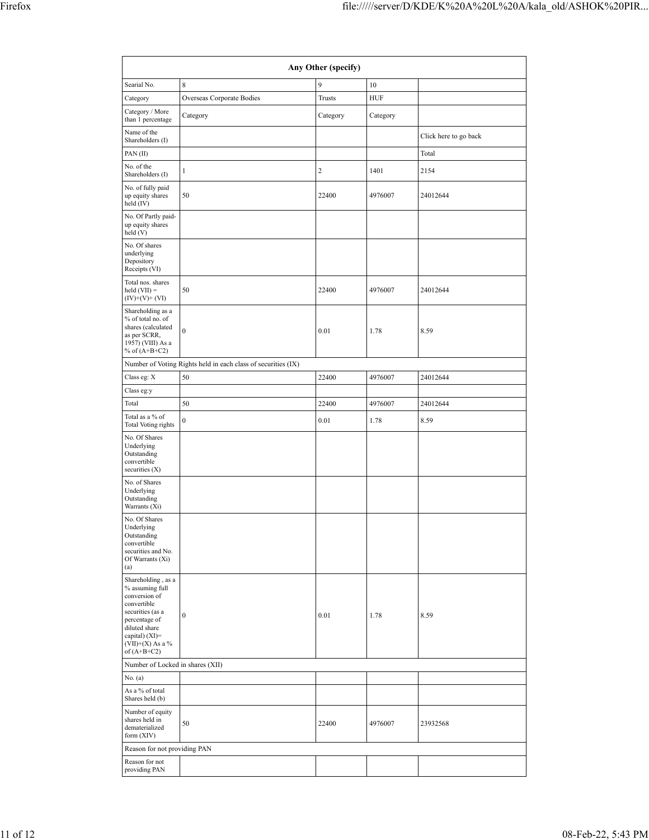|                                                                                                                                                                                      | Any Other (specify)                                           |                |            |                       |  |  |  |  |  |  |  |  |  |
|--------------------------------------------------------------------------------------------------------------------------------------------------------------------------------------|---------------------------------------------------------------|----------------|------------|-----------------------|--|--|--|--|--|--|--|--|--|
| Searial No.                                                                                                                                                                          | 8                                                             | 9              | 10         |                       |  |  |  |  |  |  |  |  |  |
| Category                                                                                                                                                                             | Overseas Corporate Bodies                                     | Trusts         | <b>HUF</b> |                       |  |  |  |  |  |  |  |  |  |
| Category / More<br>than 1 percentage                                                                                                                                                 | Category                                                      | Category       | Category   |                       |  |  |  |  |  |  |  |  |  |
| Name of the<br>Shareholders (I)                                                                                                                                                      |                                                               |                |            | Click here to go back |  |  |  |  |  |  |  |  |  |
| PAN(II)                                                                                                                                                                              |                                                               |                |            | Total                 |  |  |  |  |  |  |  |  |  |
| No. of the<br>Shareholders (I)                                                                                                                                                       | $\mathbf{1}$                                                  | $\overline{c}$ | 1401       | 2154                  |  |  |  |  |  |  |  |  |  |
| No. of fully paid<br>up equity shares<br>held (IV)                                                                                                                                   | 50                                                            | 22400          | 4976007    | 24012644              |  |  |  |  |  |  |  |  |  |
| No. Of Partly paid-<br>up equity shares<br>held (V)                                                                                                                                  |                                                               |                |            |                       |  |  |  |  |  |  |  |  |  |
| No. Of shares<br>underlying<br>Depository<br>Receipts (VI)                                                                                                                           |                                                               |                |            |                       |  |  |  |  |  |  |  |  |  |
| Total nos. shares<br>$\text{held (VII)} =$<br>$(IV)+(V)+(VI)$                                                                                                                        | 50                                                            | 22400          | 4976007    | 24012644              |  |  |  |  |  |  |  |  |  |
| Shareholding as a<br>% of total no. of<br>shares (calculated<br>as per SCRR,<br>1957) (VIII) As a<br>% of $(A+B+C2)$                                                                 | $\mathbf{0}$                                                  | 0.01           | 1.78       | 8.59                  |  |  |  |  |  |  |  |  |  |
|                                                                                                                                                                                      | Number of Voting Rights held in each class of securities (IX) |                |            |                       |  |  |  |  |  |  |  |  |  |
| Class eg: X                                                                                                                                                                          | 50                                                            | 22400          | 4976007    | 24012644              |  |  |  |  |  |  |  |  |  |
| Class eg:y                                                                                                                                                                           |                                                               |                |            |                       |  |  |  |  |  |  |  |  |  |
| Total                                                                                                                                                                                | 50                                                            | 22400          | 4976007    | 24012644              |  |  |  |  |  |  |  |  |  |
| Total as a % of<br>Total Voting rights                                                                                                                                               | $\boldsymbol{0}$                                              | 0.01           | 1.78       | 8.59                  |  |  |  |  |  |  |  |  |  |
| No. Of Shares<br>Underlying<br>Outstanding<br>convertible<br>securities $(X)$                                                                                                        |                                                               |                |            |                       |  |  |  |  |  |  |  |  |  |
| No. of Shares<br>Underlying<br>Outstanding<br>Warrants (Xi)                                                                                                                          |                                                               |                |            |                       |  |  |  |  |  |  |  |  |  |
| No. Of Shares<br>Underlying<br>Outstanding<br>convertible<br>securities and No.<br>Of Warrants (Xi)<br>(a)                                                                           |                                                               |                |            |                       |  |  |  |  |  |  |  |  |  |
| Shareholding, as a<br>% assuming full<br>conversion of<br>convertible<br>securities (as a<br>percentage of<br>diluted share<br>capital) (XI)=<br>$(VII)+(X)$ As a %<br>of $(A+B+C2)$ | $\boldsymbol{0}$                                              | 0.01           | 1.78       | 8.59                  |  |  |  |  |  |  |  |  |  |
| Number of Locked in shares (XII)                                                                                                                                                     |                                                               |                |            |                       |  |  |  |  |  |  |  |  |  |
| No. (a)                                                                                                                                                                              |                                                               |                |            |                       |  |  |  |  |  |  |  |  |  |
| As a % of total<br>Shares held (b)                                                                                                                                                   |                                                               |                |            |                       |  |  |  |  |  |  |  |  |  |
| Number of equity<br>shares held in<br>dematerialized<br>form (XIV)                                                                                                                   | 50                                                            | 22400          | 4976007    | 23932568              |  |  |  |  |  |  |  |  |  |
| Reason for not providing PAN                                                                                                                                                         |                                                               |                |            |                       |  |  |  |  |  |  |  |  |  |
| Reason for not<br>providing PAN                                                                                                                                                      |                                                               |                |            |                       |  |  |  |  |  |  |  |  |  |